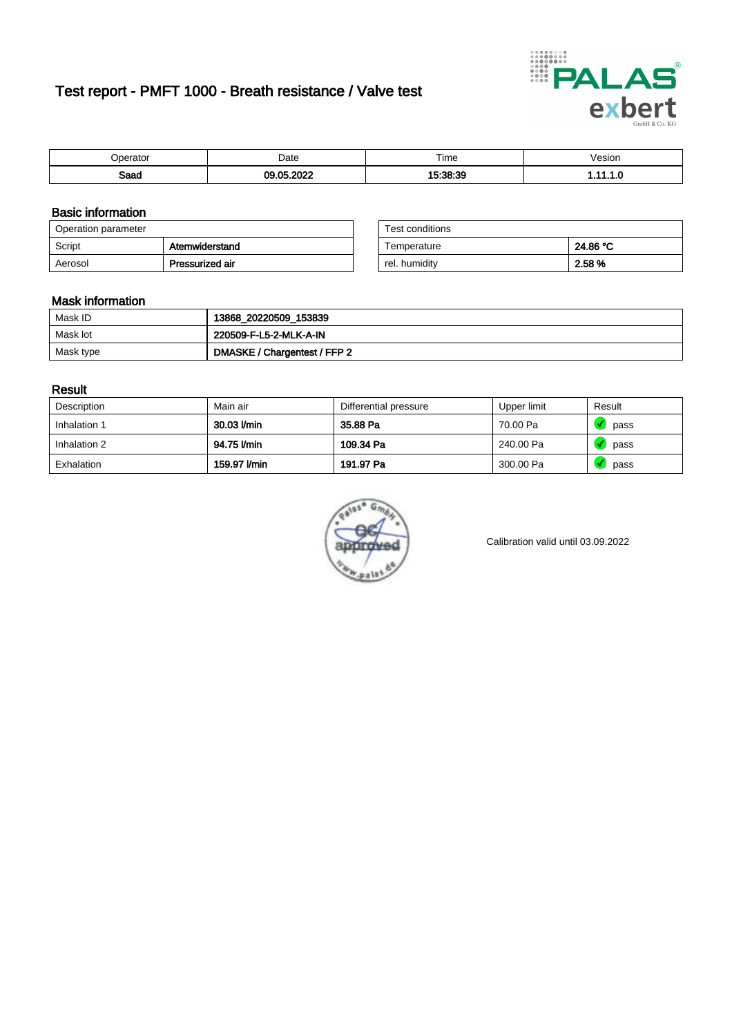# Test report - PMFT 1000 - Breath resistance / Valve test



| )perator | Date               | $- \cdot$<br>Гіmе | /esion |
|----------|--------------------|-------------------|--------|
| Saad     | ാറാ<br>$\sim$<br>. | 1.00.00<br>.      | .      |

### Basic information

| Operation parameter |                 | Test conditions |          |
|---------------------|-----------------|-----------------|----------|
| Script              | Atemwiderstand  | Temperature     | 24.86 °C |
| Aerosol             | Pressurized air | rel. humidity   | 2.58 %   |

| Test conditions |          |
|-----------------|----------|
| Temperature     | 24.86 °C |
| rel. humidity   | 2.58%    |

#### Mask information

| Mask ID   | 13868_20220509_153839        |
|-----------|------------------------------|
| Mask lot  | 220509-F-L5-2-MLK-A-IN       |
| Mask type | DMASKE / Chargentest / FFP 2 |

### Result

| Description  | Main air     | Differential pressure | Upper limit | Result |
|--------------|--------------|-----------------------|-------------|--------|
| Inhalation 1 | 30.03 l/min  | 35.88 Pa              | 70.00 Pa    | pass   |
| Inhalation 2 | 94.75 l/min  | 109.34 Pa             | 240.00 Pa   | pass   |
| Exhalation   | 159.97 l/min | 191.97 Pa             | 300.00 Pa   | pass   |



Calibration valid until 03.09.2022